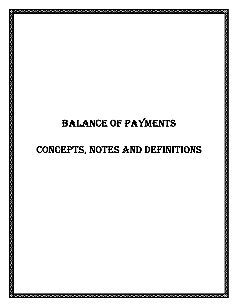# BALANCE OF PAYMENTS

# CONCEPTS, NOTES AND DEFINITIONS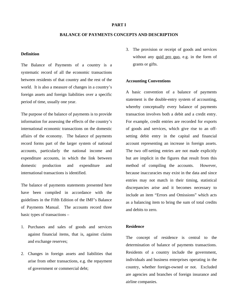#### **PART I**

# **BALANCE OF PAYMENTS CONCEPTS AND DESCRIPTION**

## **Definition**

The Balance of Payments of a country is a systematic record of all the economic transactions between residents of that country and the rest of the world. It is also a measure of changes in a country's foreign assets and foreign liabilities over a specific period of time, usually one year.

The purpose of the balance of payments is to provide information for assessing the effects of the country's international economic transactions on the domestic affairs of the economy. The balance of payments record forms part of the larger system of national accounts, particularly the national income and expenditure accounts, in which the link between domestic production and expenditure and international transactions is identified.

The balance of payments statements presented here have been compiled in accordance with the guidelines in the Fifth Edition of the IMF's Balance of Payments Manual. The accounts record three basic types of transactions –

- 1. Purchases and sales of goods and services against financial items, that is, against claims and exchange reserves;
- 2. Changes in foreign assets and liabilities that arise from other transactions, e.g. the repayment of government or commercial debt;

3. The provision or receipt of goods and services without any quid pro quo, e.g. in the form of grants or gifts.

## **Accounting Conventions**

A basic convention of a balance of payments statement is the double-entry system of accounting, whereby conceptually every balance of payments transaction involves both a debit and a credit entry. For example, credit entries are recorded for exports of goods and services, which give rise to an offsetting debit entry in the capital and financial account representing an increase in foreign assets. The two off-setting entries are not made explicitly but are implicit in the figures that result from this method of compiling the accounts. However, because inaccuracies may exist in the data and since entries may not match in their timing, statistical discrepancies arise and it becomes necessary to include an item "Errors and Omissions" which acts as a balancing item to bring the sum of total credits and debits to zero.

# **Residence**

The concept of residence is central to the determination of balance of payments transactions. Residents of a country include the government, individuals and business enterprises operating in the country, whether foreign-owned or not. Excluded are agencies and branches of foreign insurance and airline companies.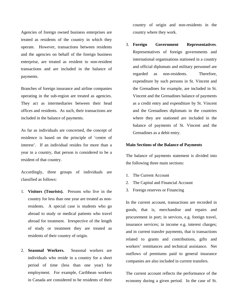Agencies of foreign owned business enterprises are treated as residents of the country in which they operate. However, transactions between residents and the agencies on behalf of the foreign business enterprise, are treated as resident to non-resident transactions and are included in the balance of payments.

Branches of foreign insurance and airline companies operating in the sub-region are treated as agencies. They act as intermediaries between their head offices and residents. As such, their transactions are included in the balance of payments.

As far as individuals are concerned, the concept of residence is based on the principle of 'centre of interest'. If an individual resides for more than a year in a country, that person is considered to be a resident of that country.

Accordingly, three groups of individuals are classified as follows:

- 1. **Visitors (Tourists).** Persons who live in the country for less than one year are treated as nonresidents. A special case is students who go abroad to study or medical patients who travel abroad for treatment. Irrespective of the length of study or treatment they are treated as residents of their country of origin.
- 2. **Seasonal Workers.** Seasonal workers are individuals who reside in a country for a short period of time (less than one year) for employment. For example, Caribbean workers in Canada are considered to be residents of their

country of origin and non-residents in the country where they work.

3. **Foreign Government Representatives**. Representatives of foreign governments and international organisations stationed in a country and official diplomats and military personnel are regarded as non-residents. Therefore, expenditure by such persons in St. Vincent and the Grenadines for example, are included in St. Vincent and the Grenadines balance of payments as a credit entry and expenditure by St. Vincent and the Grenadines diplomats in the countries where they are stationed are included in the balance of payments of St. Vincent and the Grenadines as a debit entry.

## **Main Sections of the Balance of Payments**

The balance of payments statement is divided into the following three main sections:

- 1. The Current Account
- 2. The Capital and Financial Account
- 3. Foreign reserves or Financing

In the current account, transactions are recorded in goods, that is, merchandise and repairs and procurement in port; in services, e.g. foreign travel, insurance services; in income e.g. interest charges; and in current transfer payments, that is transactions related to grants and contributions, gifts and workers' remittances and technical assistance. Net outflows of premiums paid to general insurance companies are also included in current transfers.

The current account reflects the performance of the economy during a given period. In the case of St.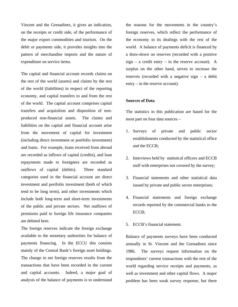Vincent and the Grenadines, it gives an indication, on the receipts or credit side, of the performance of the major export commodities and tourism. On the debit or payments side, it provides insights into the pattern of merchandise imports and the nature of expenditure on service items.

The capital and financial account records claims on the rest of the world (assets) and claims by the rest of the world (liabilities) in respect of the reporting economy, and capital transfers to and from the rest of the world. The capital account comprises capital transfers and acquisition and disposition of nonproduced non-financial assets. The claims and liabilities on the capital and financial account arise from the movement of capital for investment (including direct investment or portfolio investment) and loans. For example, loans received from abroad are recorded as inflows of capital (credits), and loan repayments made to foreigners are recorded as outflows of capital (debits). Three standard categories used in the financial account are direct investment and portfolio investment (both of which tend to be long term), and other investments which include both long-term and short-term investments of the public and private sectors. Net outflows of premiums paid to foreign life insurance companies are debited here.

The foreign reserves indicate the foreign exchange available to the monetary authorities for balance of payments financing. In the ECCU this consists mainly of the Central Bank's foreign asset holdings. The change in net foreign reserves results from the transactions that have been recorded in the current and capital accounts. Indeed, a major goal of analysis of the balance of payments is to understand

the reasons for the movements in the country's foreign reserves, which reflect the performance of the economy in its dealings with the rest of the world. A balance of payments deficit is financed by a draw-down on reserves (recorded with a positive  $sign - a \text{ credit entry} - in \text{ the reserve account}. A$ surplus on the other hand, serves to increase the reserves (recorded with a negative sign – a debit entry – in the reserve account).

# **Sources of Data**

The statistics in this publication are based for the most part on four data sources –

- 1. Surveys of private and public sector establishments conducted by the statistical office and the ECCB;
- 2. Interviews held by statistical officers and ECCB staff with enterprises not covered by the survey;
- 3. Financial statements and other statistical data issued by private and public sector enterprises;
- 4. Financial statements and foreign exchange records reported by the commercial banks to the ECCB;
- 5. ECCB's financial statement.

Balance of payments surveys have been conducted annually in St. Vincent and the Grenadines since 1986. The surveys request information on the respondents' current transactions with the rest of the world regarding service receipts and payments, as well as investment and other capital flows. A major problem has been weak survey response, but there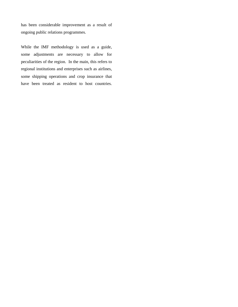has been considerable improvement as a result of ongoing public relations programmes.

While the IMF methodology is used as a guide, some adjustments are necessary to allow for peculiarities of the region. In the main, this refers to regional institutions and enterprises such as airlines, some shipping operations and crop insurance that have been treated as resident to host countries.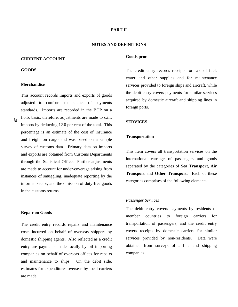## **PART II**

## **NOTES AND DEFINITIONS**

## **CURRENT ACCOUNT**

#### **GOODS**

# **Merchandise**

This account records imports and exports of goods adjusted to conform to balance of payments standards. Imports are recorded in the BOP on a f.o.b. basis, therefore, adjustments are made to c.i.f. imports by deducting 12.0 per cent of the total. This percentage is an estimate of the cost of insurance and freight on cargo and was based on a sample survey of customs data. Primary data on imports and exports are obtained from Customs Departments through the Statistical Office. Further adjustments are made to account for under-coverage arising from instances of smuggling, inadequate reporting by the informal sector, and the omission of duty-free goods in the customs returns.

#### **Repair on Goods**

The credit entry records repairs and maintenance costs incurred on behalf of overseas shippers by domestic shipping agents. Also reflected as a credit entry are payments made locally by oil importing companies on behalf of overseas offices for repairs and maintenance to ships. On the debit side, estimates for expenditures overseas by local carriers are made.

## **Goods proc**

The credit entry records receipts for sale of fuel, water and other supplies and for maintenance services provided to foreign ships and aircraft, while the debit entry covers payments for similar services acquired by domestic aircraft and shipping lines in foreign ports.

## **SERVICES**

# **Transportation**

This item covers all transportation services on the international carriage of passengers and goods separated by the categories of **Sea Transport**, **Air Transport** and **Other Transport**. Each of these categories comprises of the following elements:

## *Passenger Services*

The debit entry covers payments by residents of member countries to foreign carriers for transportation of passengers, and the credit entry covers receipts by domestic carriers for similar services provided by non-residents. Data were obtained from surveys of airline and shipping companies.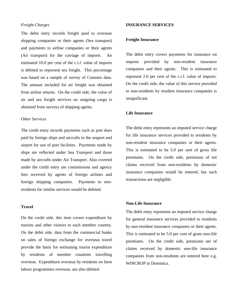## *Freight Charges*

The debit entry records freight paid to overseas shipping companies or their agents (Sea transport) and payments to airline companies or their agents (Air transport) for the carriage of imports. An estimated 10.0 per cent of the c.i.f. value of imports is debited to represent sea freight. This percentage was based on a sample of survey of Customs data. The amount included for air freight was obtained from airline returns. On the credit side, the value of air and sea freight services on outgoing cargo is obtained from surveys of shipping agents.

## *Other Services*

The credit entry records payments such as port dues paid by foreign ships and aircrafts to the seaport and airport for use of port facilities. Payments made by ships are reflected under Sea Transport and those made by aircrafts under Air Transport. Also covered under the credit entry are commissions and agency fees received by agents of foreign airlines and foreign shipping companies. Payments to nonresidents for similar services would be debited.

# **Travel**

On the credit side, this item covers expenditure by tourists and other visitors to each member country. On the debit side, data from the commercial banks on sales of foreign exchange for overseas travel provide the basis for estimating tourist expenditure by residents of member countries travelling overseas. Expenditure overseas by residents on farm labour programmes overseas, are also debited.

## **INSURANCE SERVICES**

#### **Freight Insurance**

The debit entry covers payments for insurance on imports provided by non-resident insurance companies and their agents. This is estimated to represent 2.0 per cent of the c.i.f. value of imports. On the credit side, the value of this service provided to non-residents by resident insurance companies is insignificant.

# **Life Insurance**

The debit entry represents an imputed service charge for life insurance services provided to residents by non-resident insurance companies or their agents. This is estimated to be 5.0 per sent of gross life premiums. On the credit side, premiums of net claims received from non-residents by domestic insurance companies would be entered, but such transactions are negligible.

## **Non-Life Insurance**

The debit entry represents an imputed service charge for general insurance services provided to residents by non-resident insurance companies or their agents. This is estimated to be 5.0 per cent of gross non-life premiums. On the credit side, premiums net of claims received by domestic non-life insurance companies from non-residents are entered here e.g. WINCROP in Dominica.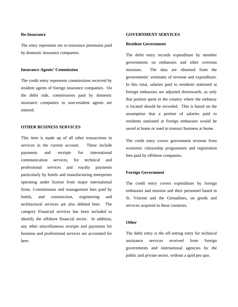# **Re-Insurance**

The entry represents net re-insurance premiums paid by domestic insurance companies.

## **Insurance Agents' Commission**

The credit entry represents commissions received by resident agents of foreign insurance companies. On the debit side, commissions paid by domestic insurance companies to non-resident agents are entered.

## **OTHER BUSINESS SERVICES**

This item is made up of all other transactions in services in the current account. These include payments and receipts for international communication services, for technical and professional services and royalty payments particularly by hotels and manufacturing enterprises operating under license from major international firms. Commissions and management fees paid by hotels, and construction, engineering and architectural services are also debited here. The category Financial services has been included to identify the offshore financial sector. In addition, any other miscellaneous receipts and payments for business and professional services are accounted for here.

## **GOVERNMENT SERVICES**

### **Resident Government**

The debit entry records expenditure by member governments on embassies and other overseas missions. The data are obtained from the governments' estimates of revenue and expenditure. In this total, salaries paid to residents stationed at foreign embassies are adjusted downwards, as only that portion spent in the country where the embassy is located should be recorded. This is based on the assumption that a portion of salaries paid to residents stationed at foreign embassies would be saved at home or used to transact business at home.

The credit entry covers government revenue from economic citizenship programmes and registration fees paid by offshore companies.

# **Foreign Government**

The credit entry covers expenditure by foreign embassies and mission and their personnel based in St. Vincent and the Grenadines, on goods and services acquired in these countries.

# **Other**

The debit entry is the off-setting entry for technical assistance services received from foreign governments and international agencies by the public and private sector, without a quid pro quo.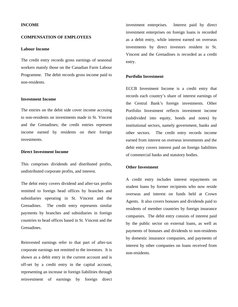# **INCOME**

# **COMPENSATION OF EMPLOYEES**

# **Labour Income**

The credit entry records gross earnings of seasonal workers mainly those on the Canadian Farm Labour Programme. The debit records gross income paid to non-residents.

#### **Investment Income**

The entries on the debit side cover income accruing to non-residents on investments made in St. Vincent and the Grenadines; the credit entries represent income earned by residents on their foreign investments.

# **Direct Investment Income**

This comprises dividends and distributed profits, undistributed corporate profits, and interest.

The debit entry covers dividend and after-tax profits remitted to foreign head offices by branches and subsidiaries operating in St. Vincent and the Grenadines. The credit entry represents similar payments by branches and subsidiaries in foreign countries to head offices based in St. Vincent and the Grenadines.

Reinvested earnings refer to that part of after-tax corporate earnings not remitted to the investors. It is shown as a debit entry in the current account and is off-set by a credit entry in the capital account, representing an increase in foreign liabilities through reinvestment of earnings by foreign direct

investment enterprises. Interest paid by direct investment enterprises on foreign loans is recorded as a debit entry, while interest earned on overseas investments by direct investors resident in St. Vincent and the Grenadines is recorded as a credit entry.

## **Portfolio Investment**

ECCB Investment Income is a credit entry that records each country's share of interest earnings of the Central Bank's foreign investments. Other Portfolio Investment reflects investment income (subdivided into equity, bonds and notes) by institutional sectors, namely government, banks and other sectors. The credit entry records income earned from interest on overseas investments and the debit entry covers interest paid on foreign liabilities of commercial banks and statutory bodies.

# **Other Investment**

A credit entry includes interest repayments on student loans by former recipients who now reside overseas and interest on funds held at Crown Agents. It also covers bonuses and dividends paid to residents of member countries by foreign insurance companies. The debit entry consists of interest paid by the public sector on external loans, as well as payments of bonuses and dividends to non-residents by domestic insurance companies, and payments of interest by other companies on loans received from non-residents.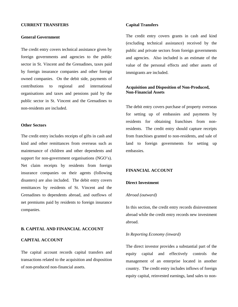## **CURRENT TRANSFERS**

# **General Government**

The credit entry covers technical assistance given by foreign governments and agencies to the public sector in St. Vincent and the Grenadines, taxes paid by foreign insurance companies and other foreign owned companies. On the debit side, payments of contributions to regional and international organisations and taxes and pensions paid by the public sector in St. Vincent and the Grenadines to non-residents are included.

## **Other Sectors**

The credit entry includes receipts of gifts in cash and kind and other remittances from overseas such as maintenance of children and other dependents and support for non-government organisations (NGO's). Net claim receipts by residents from foreign insurance companies on their agents (following disasters) are also included. The debit entry covers remittances by residents of St. Vincent and the Grenadines to dependents abroad, and outflows of net premiums paid by residents to foreign insurance companies.

## **B. CAPITAL AND FINANCIAL ACCOUNT**

## **CAPITAL ACCOUNT**

The capital account records capital transfers and transactions related to the acquisition and disposition of non-produced non-financial assets.

## **Capital Transfers**

The credit entry covers grants in cash and kind (excluding technical assistance) received by the public and private sectors from foreign governments and agencies. Also included is an estimate of the value of the personal effects and other assets of immigrants are included.

# **Acquisition and Disposition of Non-Produced, Non-Financial Assets**

The debit entry covers purchase of property overseas for setting up of embassies and payments by residents for obtaining franchises from nonresidents. The credit entry should capture receipts from franchises granted to non-residents, and sale of land to foreign governments for setting up embassies.

# **FINANCIAL ACCOUNT**

# **Direct Investment**

#### *Abroad (outward)*

In this section, the credit entry records disinvestment abroad while the credit entry records new investment abroad.

#### *In Reporting Economy (inward)*

The direct investor provides a substantial part of the equity capital and effectively controls the management of an enterprise located in another country. The credit entry includes inflows of foreign equity capital, reinvested earnings, land sales to non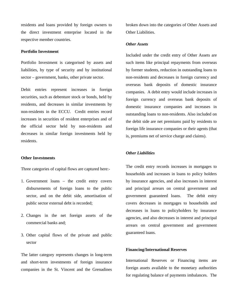residents and loans provided by foreign owners to the direct investment enterprise located in the respective member countries.

# **Portfolio Investment**

Portfolio Investment is categorised by assets and liabilities, by type of security and by institutional sector – government, banks, other private sector.

Debit entries represent increases in foreign securities, such as debenture stock or bonds, held by residents, and decreases in similar investments by non-residents in the ECCU. Credit entries record increases in securities of resident enterprises and of the official sector held by non-residents and decreases in similar foreign investments held by residents.

## **Other Investments**

Three categories of capital flows are captured here:-

- 1. Government loans the credit entry covers disbursements of foreign loans to the public sector, and on the debit side, amortisation of public sector external debt is recorded;
- 2. Changes in the net foreign assets of the commercial banks and;
- 3. Other capital flows of the private and public sector

The latter category represents changes in long-term and short-term investments of foreign insurance companies in the St. Vincent and the Grenadines broken down into the categories of Other Assets and Other Liabilities.

#### *Other Assets*

Included under the credit entry of Other Assets are such items like principal repayments from overseas by former students, reduction in outstanding loans to non-residents and decreases in foreign currency and overseas bank deposits of domestic insurance companies. A debit entry would include increases in foreign currency and overseas bank deposits of domestic insurance companies and increases in outstanding loans to non-residents. Also included on the debit side are net premiums paid by residents to foreign life insurance companies or their agents (that is, premiums net of service charge and claims).

## *Other Liabilities*

The credit entry records increases in mortgages to households and increases in loans to policy holders by insurance agencies, and also increases in interest and principal arrears on central government and government guaranteed loans. The debit entry covers decreases in mortgages to households and decreases in loans to policyholders by insurance agencies, and also decreases in interest and principal arrears on central government and government guaranteed loans.

## **Financing/International Reserves**

International Reserves or Financing items are foreign assets available to the monetary authorities for regulating balance of payments imbalances. The